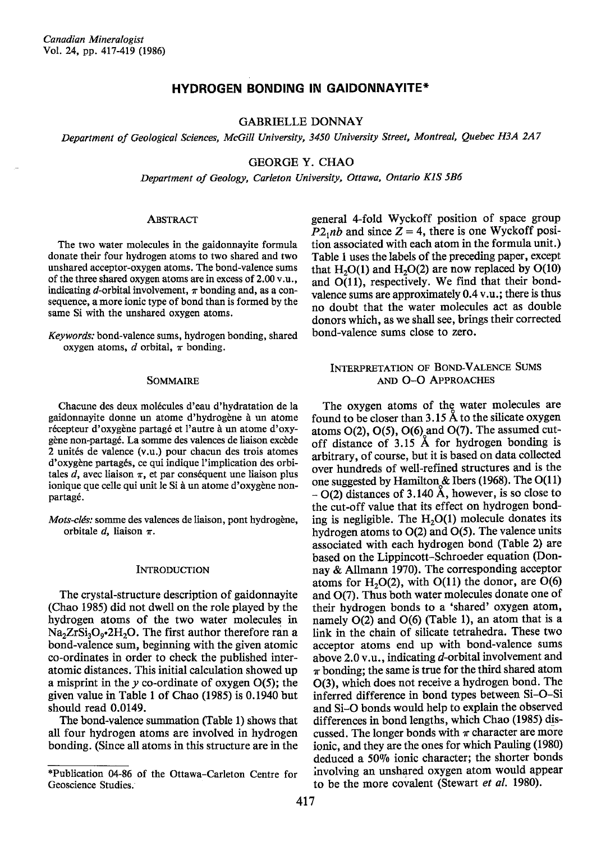# **HYDROGEN BONDING IN GAIDONNAYITE\***

# **GABRIELLE DONNAY**

Department of Geological Sciences, McGill University, 3450 University Street, Montreal, Quebec H3A 2A7

**GEORGE Y. CHAO** 

Department of Geology, Carleton University, Ottawa, Ontario K1S 5B6

### **ABSTRACT**

The two water molecules in the gaidonnavite formula donate their four hydrogen atoms to two shared and two unshared acceptor-oxygen atoms. The bond-valence sums of the three shared oxygen atoms are in excess of 2.00 v.u., indicating d-orbital involvement,  $\pi$  bonding and, as a consequence, a more ionic type of bond than is formed by the same Si with the unshared oxygen atoms.

Keywords: bond-valence sums, hydrogen bonding, shared oxygen atoms,  $d$  orbital,  $\pi$  bonding.

## **SOMMAIRE**

Chacune des deux molécules d'eau d'hydratation de la gaidonnayite donne un atome d'hydrogène à un atome récepteur d'oxygène partagé et l'autre à un atome d'oxygène non-partagé. La somme des valences de liaison excède 2 unités de valence (v.u.) pour chacun des trois atomes d'oxygène partagés, ce qui indique l'implication des orbitales  $d$ , avec liaison  $\pi$ , et par conséquent une liaison plus ionique que celle qui unit le Si à un atome d'oxygène nonpartagé.

Mots-clés: somme des valences de liaison, pont hydrogène, orbitale  $d$ , liaison  $\pi$ .

#### **INTRODUCTION**

The crystal-structure description of gaidonnavite (Chao 1985) did not dwell on the role played by the hydrogen atoms of the two water molecules in Na<sub>2</sub>ZrSi<sub>3</sub>O<sub>0</sub>•2H<sub>2</sub>O. The first author therefore ran a bond-valence sum, beginning with the given atomic co-ordinates in order to check the published interatomic distances. This initial calculation showed up a misprint in the  $y$  co-ordinate of oxygen  $O(5)$ ; the given value in Table 1 of Chao (1985) is 0.1940 but should read 0.0149.

The bond-valence summation (Table 1) shows that all four hydrogen atoms are involved in hydrogen bonding. (Since all atoms in this structure are in the general 4-fold Wyckoff position of space group  $P2_1nb$  and since  $Z = 4$ , there is one Wyckoff position associated with each atom in the formula unit.) Table 1 uses the labels of the preceding paper, except that H<sub>2</sub>O(1) and H<sub>2</sub>O(2) are now replaced by O(10) and  $O(11)$ , respectively. We find that their bondvalence sums are approximately 0.4 v.u.; there is thus no doubt that the water molecules act as double donors which, as we shall see, brings their corrected bond-valence sums close to zero.

## INTERPRETATION OF BOND-VALENCE SUMS AND O-O APPROACHES

The oxygen atoms of the water molecules are found to be closer than 3.15 Å to the silicate oxygen atoms  $O(2)$ ,  $O(5)$ ,  $O(6)$  and  $O(7)$ . The assumed cutoff distance of 3.15 Å for hydrogen bonding is arbitrary, of course, but it is based on data collected over hundreds of well-refined structures and is the one suggested by Hamilton & Ibers (1968). The  $O(11)$  $- O(2)$  distances of 3.140 Å, however, is so close to the cut-off value that its effect on hydrogen bonding is negligible. The  $H_2O(1)$  molecule donates its hydrogen atoms to  $O(2)$  and  $O(5)$ . The valence units associated with each hydrogen bond (Table 2) are based on the Lippincott-Schroeder equation (Donnay & Allmann 1970). The corresponding acceptor atoms for  $H<sub>2</sub>O(2)$ , with  $O(11)$  the donor, are  $O(6)$ and O(7). Thus both water molecules donate one of their hydrogen bonds to a 'shared' oxygen atom, namely O(2) and O(6) (Table 1), an atom that is a link in the chain of silicate tetrahedra. These two acceptor atoms end up with bond-valence sums above 2.0 v.u., indicating d-orbital involvement and  $\pi$  bonding; the same is true for the third shared atom O(3), which does not receive a hydrogen bond. The inferred difference in bond types between Si-O-Si and Si-O bonds would help to explain the observed differences in bond lengths, which Chao (1985) discussed. The longer bonds with  $\pi$  character are more ionic, and they are the ones for which Pauling (1980) deduced a 50% ionic character; the shorter bonds involving an unshared oxygen atom would appear to be the more covalent (Stewart et al. 1980).

<sup>\*</sup>Publication 04-86 of the Ottawa-Carleton Centre for Geoscience Studies.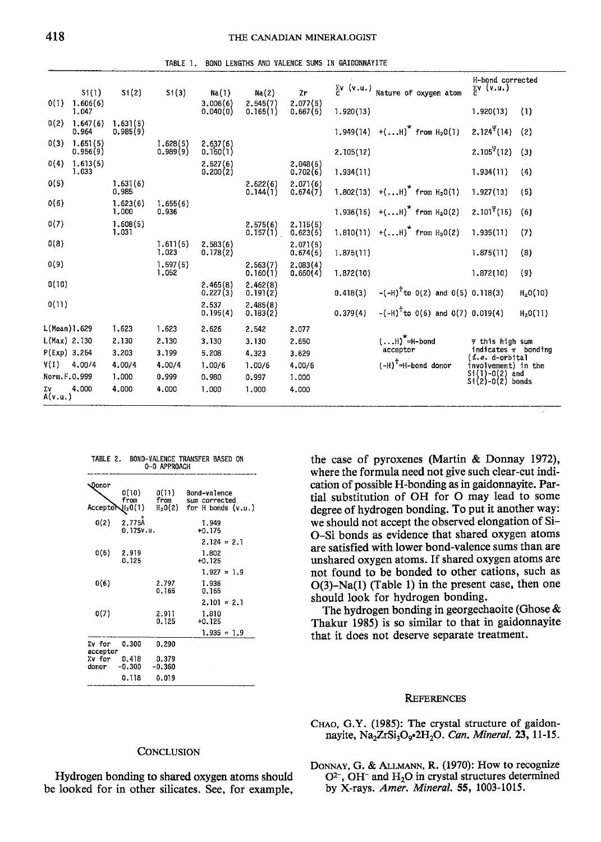TABLE 1. BOND LENGTHS AND VALENCE SUMS IN GAIDONNAYITE

|               | St(1)                | Si(2)                | S1(3)                | Na(1)                | Na(2)                | Zr                     | $\Sigma v$ (v.u.) | Nature of oxygen atom                 | H-bond corrected<br>$\sum\limits_{\mathbf{C}}\mathbf{v}$ (v.u.) |                      |
|---------------|----------------------|----------------------|----------------------|----------------------|----------------------|------------------------|-------------------|---------------------------------------|-----------------------------------------------------------------|----------------------|
| 0(1)          | 1.606(6)<br>1.047    |                      |                      | 3.006(6)<br>0.040(0) | 2.545(7)<br>0.165(1) | 2.077(5)<br>0.667(5)   | 1.920(13)         |                                       | 1.920(13)                                                       | (1)                  |
| 0(2)          | 1.647(6)<br>0.964    | 1.631(5)<br>0.985(9) |                      |                      |                      |                        | 1.949(14)         | +(H) <sup>*</sup> from $H_20(1)$      | $2.124\Psi(14)$                                                 | (2)                  |
| 0(3)          | 1.651(5)<br>0.956(9) |                      | 1.628(5)<br>0.989(9) | 2.637(6)<br>0.160(1) |                      |                        | 2.105(12)         |                                       | $2.105^{\Psi}(12)$                                              | (3)                  |
| 0(4)          | 1.613(5)<br>1,033    |                      |                      | 2.527(6)<br>0.200(2) |                      | $2.048(5)$<br>0.702(6) | 1.934(11)         |                                       | 1,934(11)                                                       | (4)                  |
| 0(5)          |                      | 1.631(6)<br>0.985    |                      |                      | 2.622(6)<br>0.144(1) | 2.071(6)<br>0.674(7)   | 1.802(13)         | +(H) <sup>*</sup> from $H_20(1)$      | 1.927(13)                                                       | (5)                  |
| 0(6)          |                      | 1.623(6)<br>1,000    | 1.655(6)<br>0.936    |                      |                      |                        |                   | 1.936(15) $+(H)^*$ from $H_2O(2)$     | $2.101\Psi(15)$                                                 | (6)                  |
| 0(7)          |                      | 1.608(5)<br>1.031    |                      |                      | 2.575(6)<br>0.157(1) | 2.115(5)<br>0.623(5)   | 1.810(11)         | +(H) <sup>*</sup> from $H_2O(2)$      | 1.935(11)                                                       | (7)                  |
| 0(8)          |                      |                      | 1.611(5)<br>1.023    | 2,583(6)<br>0.178(2) |                      | 2.071(5)<br>0.674(5)   | 1.875(11)         |                                       | 1,875(11)                                                       | (8)                  |
| 0(9)          |                      |                      | 1,597(5)<br>1.052    |                      | 2.563(7)<br>0.160(1) | 2.083(4)<br>0.660(4)   | 1.872(10)         |                                       | 1.872(10)                                                       | (9)                  |
| 0(10)         |                      |                      |                      | 2.465(8)<br>0.227(3) | 2.462(8)<br>0.191(2) |                        | 0.418(3)          | $-(-H)^T$ to 0(2) and 0(5) 0.118(3)   |                                                                 | H <sub>2</sub> O(10) |
| 0(11)         |                      |                      |                      | 2.537<br>0.195(4)    | 2,485(8)<br>0.183(2) |                        | 0.379(4)          | $-(-H)^{T}$ to 0(6) and 0(7) 0.019(4) |                                                                 | H <sub>2</sub> O(11) |
| L(Mean)1.629  |                      | 1.623                | 1,623                | 2.626                | 2.542                | 2.077                  |                   |                                       |                                                                 |                      |
| L(Max) 2.130  |                      | 2.130                | 2.130                | 3,130                | 3.130                | 2.650                  |                   | $()$ $^*$ =H-bond                     | y this high sum                                                 |                      |
| P(Exp) 3.254  |                      | 3.203                | 3.199                | 5.208                | 4.323                | 3.629                  |                   | acceptor                              | indicates $\pi$ bonding<br>( <i>i.e</i> . d-orbital             |                      |
| V(I)          | 4.00/4               | 4.00/4               | 4.00/4               | 1.00/6               | 1.00/6               | 4.00/6                 |                   | $(-H)^{\dagger}$ =H-bond donor        | involvement) in the                                             |                      |
| Norm, F.O.999 |                      | 1,000                | 0.999                | 0.980                | 0.997                | 1.000                  |                   |                                       | $Si(1)-O(2)$ and<br>$Si(2)-O(2)$ bonds                          |                      |
| Σ٧<br>A(v.u.) | 4.000                | 4.000                | 4.000                | 1.000                | 1,000                | 4.000                  |                   |                                       |                                                                 |                      |

| TABLE 2.<br>BOND-VALENCE TRANSFER BASED ON<br>0-0 APPROACH |                     |                     |                               |  |  |  |  |  |  |
|------------------------------------------------------------|---------------------|---------------------|-------------------------------|--|--|--|--|--|--|
| Donor                                                      | 0(10)<br>from       | 0(11)<br>from       | Bond-valence<br>sum corrected |  |  |  |  |  |  |
| Acceptor                                                   | $H_20(1)$           | H <sub>2</sub> O(2) | for H bonds (v.u.)            |  |  |  |  |  |  |
| 0(2)                                                       | 2.775A<br>0.175v.u. |                     | 1.949<br>$+0.175$             |  |  |  |  |  |  |
|                                                            |                     |                     | $2.124 = 2.1$                 |  |  |  |  |  |  |
| 0(5)                                                       | 2.919<br>0.125      |                     | 1.802<br>$+0.125$             |  |  |  |  |  |  |
|                                                            |                     |                     | $1.927 \approx 1.9$           |  |  |  |  |  |  |
| 0(6)                                                       |                     | 2.797<br>0.165      | 1.936<br>0.165                |  |  |  |  |  |  |
|                                                            |                     |                     | $2.101 \approx 2.1$           |  |  |  |  |  |  |
| 0(7)                                                       |                     | 2.911<br>0.125      | 1.810<br>$+0.125$             |  |  |  |  |  |  |
|                                                            |                     |                     | $1.935 = 1.9$                 |  |  |  |  |  |  |
| Σv for<br>acceptor                                         | 0.300               | 0.290               |                               |  |  |  |  |  |  |
| $\Sigma v$ for                                             | 0.418               | 0.379               |                               |  |  |  |  |  |  |
| donor                                                      | $-0.300$            | $-0.360$            |                               |  |  |  |  |  |  |
|                                                            | 0.118               | 0.019               |                               |  |  |  |  |  |  |

the case of pyroxenes (Martin & Donnay 1972), where the formula need not give such clear-cut indication of possible H-bonding as in gaidonnayite. Partial substitution of OH for O may lead to some degree of hydrogen bonding. To put it another way: we should not accept the observed elongation of Si-O-Si bonds as evidence that shared oxygen atoms are satisfied with lower bond-valence sums than are unshared oxygen atoms. If shared oxygen atoms are not found to be bonded to other cations, such as O(3)-Na(1) (Table l) in the present case, then one should look for hydrogen bonding.

The hydrogen bonding in georgechaoite (Ghose & Thakur 1985) is so similar to that in gaidonnayite that it does not deserve separate treatment.

## **REFERENCES**

CHAO, G.Y. (1985): The crystal structure of gaidonnayite, Na<sub>2</sub>ZrSi<sub>3</sub>O<sub>9</sub>•2H<sub>2</sub>O. Can. Mineral. 23, 11-15.

## CONCLUSION

Hydrogen bonding to shared oxygen atoms should be looked for in other silicates. See, for example,

DONNAY, G. & ALLMANN, R. (1970): How to recognize  $O^{2-}$ , OH<sup>-</sup> and H<sub>2</sub>O in crystal structures determined by X-rays. Amer. Mineral. 55, 1003-1015.